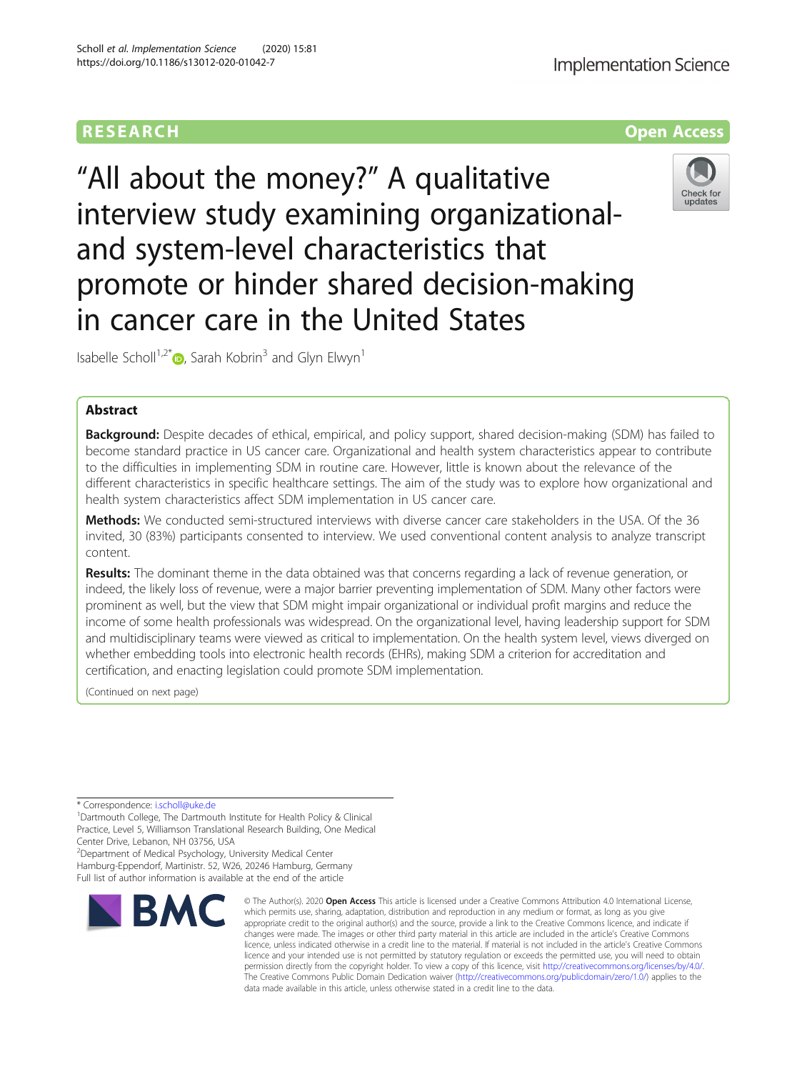# "All about the money?" A qualitative interview study examining organizationaland system-level characteristics that promote or hinder shared decision-making in cancer care in the United States

**Implementation Science** 



Isabelle Scholl<sup>1,2[\\*](http://orcid.org/0000-0002-7639-0880)</sup>  $\bullet$ , Sarah Kobrin<sup>3</sup> and Glyn Elwyn<sup>1</sup>

# Abstract

Background: Despite decades of ethical, empirical, and policy support, shared decision-making (SDM) has failed to become standard practice in US cancer care. Organizational and health system characteristics appear to contribute to the difficulties in implementing SDM in routine care. However, little is known about the relevance of the different characteristics in specific healthcare settings. The aim of the study was to explore how organizational and health system characteristics affect SDM implementation in US cancer care.

Methods: We conducted semi-structured interviews with diverse cancer care stakeholders in the USA. Of the 36 invited, 30 (83%) participants consented to interview. We used conventional content analysis to analyze transcript content.

Results: The dominant theme in the data obtained was that concerns regarding a lack of revenue generation, or indeed, the likely loss of revenue, were a major barrier preventing implementation of SDM. Many other factors were prominent as well, but the view that SDM might impair organizational or individual profit margins and reduce the income of some health professionals was widespread. On the organizational level, having leadership support for SDM and multidisciplinary teams were viewed as critical to implementation. On the health system level, views diverged on whether embedding tools into electronic health records (EHRs), making SDM a criterion for accreditation and certification, and enacting legislation could promote SDM implementation.

(Continued on next page)

\* Correspondence: [i.scholl@uke.de](mailto:i.scholl@uke.de) <sup>1</sup>

<sup>1</sup> Dartmouth College, The Dartmouth Institute for Health Policy & Clinical Practice, Level 5, Williamson Translational Research Building, One Medical Center Drive, Lebanon, NH 03756, USA

<sup>2</sup> Department of Medical Psychology, University Medical Center Hamburg-Eppendorf, Martinistr. 52, W26, 20246 Hamburg, Germany Full list of author information is available at the end of the article



© The Author(s), 2020 **Open Access** This article is licensed under a Creative Commons Attribution 4.0 International License, which permits use, sharing, adaptation, distribution and reproduction in any medium or format, as long as you give appropriate credit to the original author(s) and the source, provide a link to the Creative Commons licence, and indicate if changes were made. The images or other third party material in this article are included in the article's Creative Commons licence, unless indicated otherwise in a credit line to the material. If material is not included in the article's Creative Commons licence and your intended use is not permitted by statutory regulation or exceeds the permitted use, you will need to obtain permission directly from the copyright holder. To view a copy of this licence, visit [http://creativecommons.org/licenses/by/4.0/.](http://creativecommons.org/licenses/by/4.0/) The Creative Commons Public Domain Dedication waiver [\(http://creativecommons.org/publicdomain/zero/1.0/](http://creativecommons.org/publicdomain/zero/1.0/)) applies to the data made available in this article, unless otherwise stated in a credit line to the data.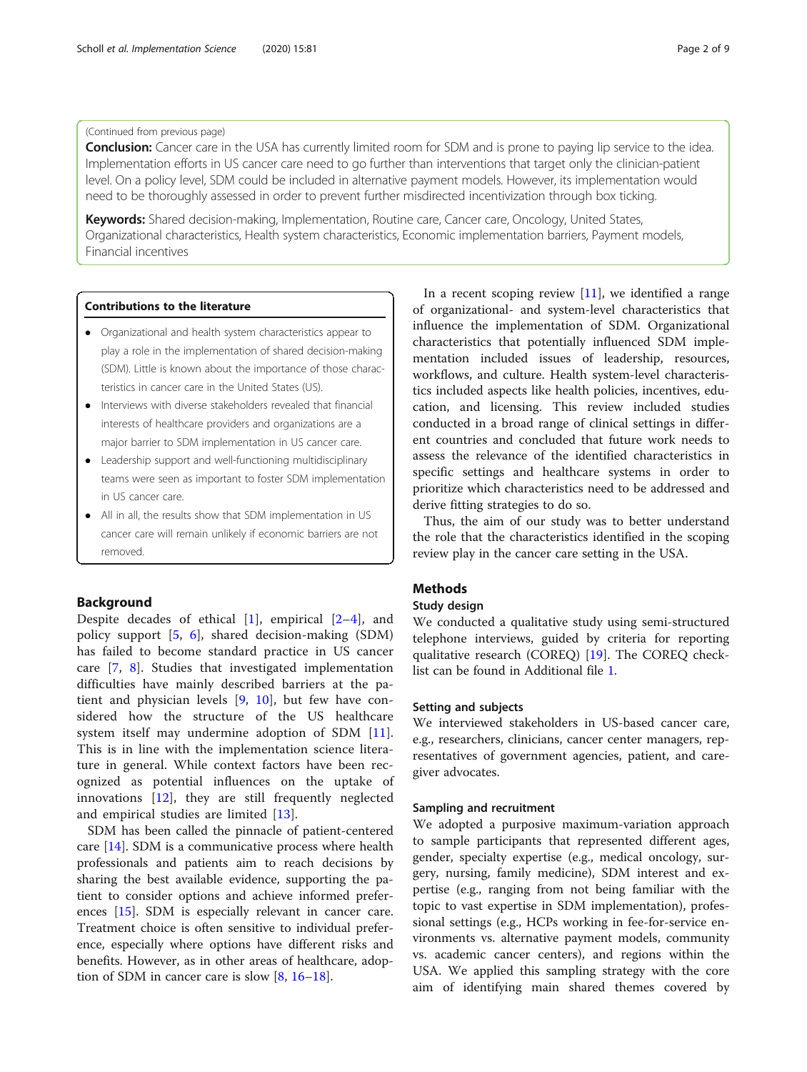# (Continued from previous page)

**Conclusion:** Cancer care in the USA has currently limited room for SDM and is prone to paying lip service to the idea. Implementation efforts in US cancer care need to go further than interventions that target only the clinician-patient level. On a policy level, SDM could be included in alternative payment models. However, its implementation would need to be thoroughly assessed in order to prevent further misdirected incentivization through box ticking.

Keywords: Shared decision-making, Implementation, Routine care, Cancer care, Oncology, United States, Organizational characteristics, Health system characteristics, Economic implementation barriers, Payment models, Financial incentives

#### Contributions to the literature

- Organizational and health system characteristics appear to play a role in the implementation of shared decision-making (SDM). Little is known about the importance of those characteristics in cancer care in the United States (US).
- Interviews with diverse stakeholders revealed that financial interests of healthcare providers and organizations are a major barrier to SDM implementation in US cancer care.
- Leadership support and well-functioning multidisciplinary teams were seen as important to foster SDM implementation in US cancer care.
- All in all, the results show that SDM implementation in US cancer care will remain unlikely if economic barriers are not removed.

# Background

Despite decades of ethical [\[1](#page-7-0)], empirical [[2](#page-7-0)–[4\]](#page-7-0), and policy support [[5,](#page-7-0) [6](#page-7-0)], shared decision-making (SDM) has failed to become standard practice in US cancer care [[7,](#page-7-0) [8\]](#page-7-0). Studies that investigated implementation difficulties have mainly described barriers at the patient and physician levels [\[9](#page-7-0), [10\]](#page-7-0), but few have considered how the structure of the US healthcare system itself may undermine adoption of SDM [\[11](#page-7-0)]. This is in line with the implementation science literature in general. While context factors have been recognized as potential influences on the uptake of innovations [[12\]](#page-7-0), they are still frequently neglected and empirical studies are limited [\[13](#page-7-0)].

SDM has been called the pinnacle of patient-centered care [[14\]](#page-7-0). SDM is a communicative process where health professionals and patients aim to reach decisions by sharing the best available evidence, supporting the patient to consider options and achieve informed preferences [\[15](#page-7-0)]. SDM is especially relevant in cancer care. Treatment choice is often sensitive to individual preference, especially where options have different risks and benefits. However, as in other areas of healthcare, adoption of SDM in cancer care is slow [\[8,](#page-7-0) [16](#page-7-0)–[18\]](#page-7-0).

In a recent scoping review  $[11]$  $[11]$ , we identified a range of organizational- and system-level characteristics that influence the implementation of SDM. Organizational characteristics that potentially influenced SDM implementation included issues of leadership, resources, workflows, and culture. Health system-level characteristics included aspects like health policies, incentives, education, and licensing. This review included studies conducted in a broad range of clinical settings in different countries and concluded that future work needs to assess the relevance of the identified characteristics in specific settings and healthcare systems in order to prioritize which characteristics need to be addressed and derive fitting strategies to do so.

Thus, the aim of our study was to better understand the role that the characteristics identified in the scoping review play in the cancer care setting in the USA.

# **Methods**

## Study design

We conducted a qualitative study using semi-structured telephone interviews, guided by criteria for reporting qualitative research (COREQ) [\[19](#page-8-0)]. The COREQ checklist can be found in Additional file [1](#page-6-0).

# Setting and subjects

We interviewed stakeholders in US-based cancer care, e.g., researchers, clinicians, cancer center managers, representatives of government agencies, patient, and caregiver advocates.

# Sampling and recruitment

We adopted a purposive maximum-variation approach to sample participants that represented different ages, gender, specialty expertise (e.g., medical oncology, surgery, nursing, family medicine), SDM interest and expertise (e.g., ranging from not being familiar with the topic to vast expertise in SDM implementation), professional settings (e.g., HCPs working in fee-for-service environments vs. alternative payment models, community vs. academic cancer centers), and regions within the USA. We applied this sampling strategy with the core aim of identifying main shared themes covered by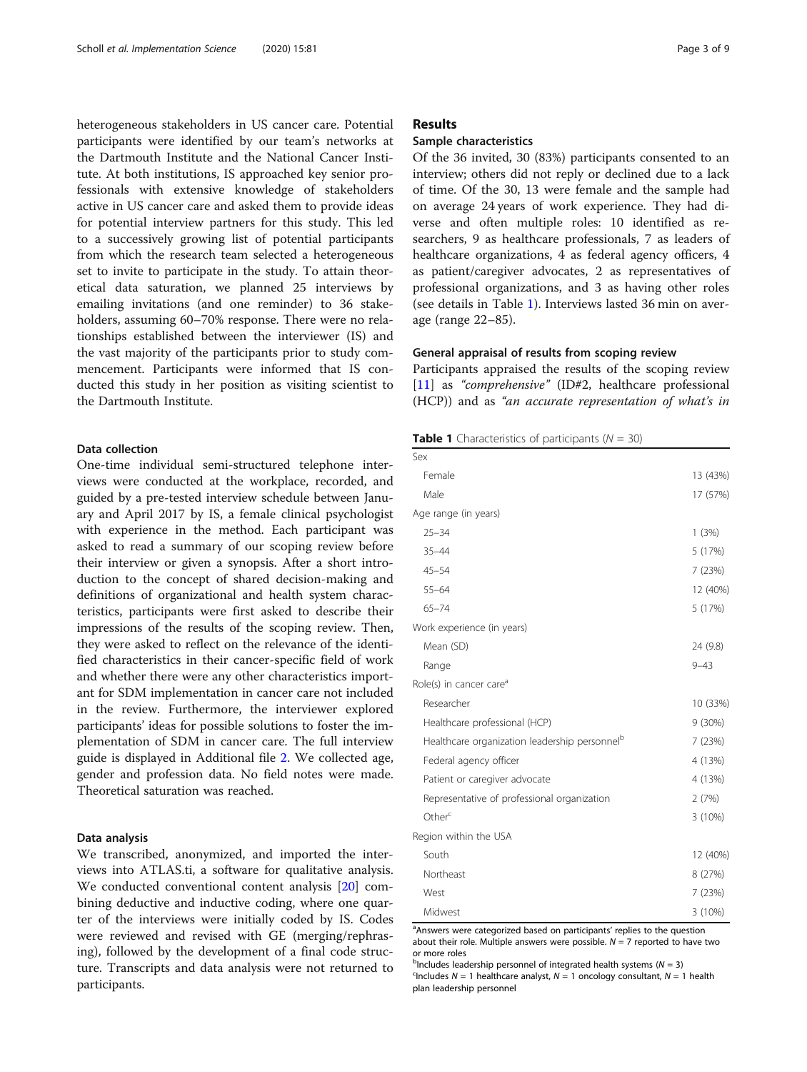heterogeneous stakeholders in US cancer care. Potential participants were identified by our team's networks at the Dartmouth Institute and the National Cancer Institute. At both institutions, IS approached key senior professionals with extensive knowledge of stakeholders active in US cancer care and asked them to provide ideas for potential interview partners for this study. This led to a successively growing list of potential participants from which the research team selected a heterogeneous set to invite to participate in the study. To attain theoretical data saturation, we planned 25 interviews by emailing invitations (and one reminder) to 36 stakeholders, assuming 60–70% response. There were no relationships established between the interviewer (IS) and the vast majority of the participants prior to study commencement. Participants were informed that IS conducted this study in her position as visiting scientist to the Dartmouth Institute.

# Data collection

One-time individual semi-structured telephone interviews were conducted at the workplace, recorded, and guided by a pre-tested interview schedule between January and April 2017 by IS, a female clinical psychologist with experience in the method. Each participant was asked to read a summary of our scoping review before their interview or given a synopsis. After a short introduction to the concept of shared decision-making and definitions of organizational and health system characteristics, participants were first asked to describe their impressions of the results of the scoping review. Then, they were asked to reflect on the relevance of the identified characteristics in their cancer-specific field of work and whether there were any other characteristics important for SDM implementation in cancer care not included in the review. Furthermore, the interviewer explored participants' ideas for possible solutions to foster the implementation of SDM in cancer care. The full interview guide is displayed in Additional file [2.](#page-6-0) We collected age, gender and profession data. No field notes were made. Theoretical saturation was reached.

# Data analysis

We transcribed, anonymized, and imported the interviews into ATLAS.ti, a software for qualitative analysis. We conducted conventional content analysis [\[20\]](#page-8-0) combining deductive and inductive coding, where one quarter of the interviews were initially coded by IS. Codes were reviewed and revised with GE (merging/rephrasing), followed by the development of a final code structure. Transcripts and data analysis were not returned to participants.

# Results

# Sample characteristics

Of the 36 invited, 30 (83%) participants consented to an interview; others did not reply or declined due to a lack of time. Of the 30, 13 were female and the sample had on average 24 years of work experience. They had diverse and often multiple roles: 10 identified as researchers, 9 as healthcare professionals, 7 as leaders of healthcare organizations, 4 as federal agency officers, 4 as patient/caregiver advocates, 2 as representatives of professional organizations, and 3 as having other roles (see details in Table 1). Interviews lasted 36 min on average (range 22–85).

# General appraisal of results from scoping review

Participants appraised the results of the scoping review [[11\]](#page-7-0) as "comprehensive" (ID#2, healthcare professional (HCP)) and as "an accurate representation of what's in

|  |  | <b>Table 1</b> Characteristics of participants ( $N = 30$ ) |  |  |
|--|--|-------------------------------------------------------------|--|--|
|--|--|-------------------------------------------------------------|--|--|

| Sex                                                       |           |
|-----------------------------------------------------------|-----------|
| Female                                                    | 13 (43%)  |
| Male                                                      | 17 (57%)  |
| Age range (in years)                                      |           |
| $25 - 34$                                                 | 1(3%)     |
| $35 - 44$                                                 | 5 (17%)   |
| $45 - 54$                                                 | 7 (23%)   |
| $55 - 64$                                                 | 12 (40%)  |
| $65 - 74$                                                 | 5 (17%)   |
| Work experience (in years)                                |           |
| Mean (SD)                                                 | 24 (9.8)  |
| Range                                                     | $9 - 43$  |
| Role(s) in cancer care <sup>a</sup>                       |           |
| Researcher                                                | 10 (33%)  |
| Healthcare professional (HCP)                             | $9(30\%)$ |
| Healthcare organization leadership personnel <sup>b</sup> | 7(23%)    |
| Federal agency officer                                    | 4 (13%)   |
| Patient or caregiver advocate                             | 4 (13%)   |
| Representative of professional organization               | 2(7%)     |
| Other $c$                                                 | 3(10%)    |
| Region within the USA                                     |           |
| South                                                     | 12 (40%)  |
| Northeast                                                 | 8 (27%)   |
| West                                                      | 7(23%)    |
| Midwest                                                   | 3(10%)    |

<sup>a</sup> Answers were categorized based on participants' replies to the question about their role. Multiple answers were possible.  $N = 7$  reported to have two or more roles

blincludes leadership personnel of integrated health systems ( $N = 3$ )<br>Sincludes  $N = 1$  boalthcare analyst  $N = 1$  oncelogy consultant  $N = 1$  $\epsilon$ Includes N = 1 healthcare analyst, N = 1 oncology consultant, N = 1 health plan leadership personnel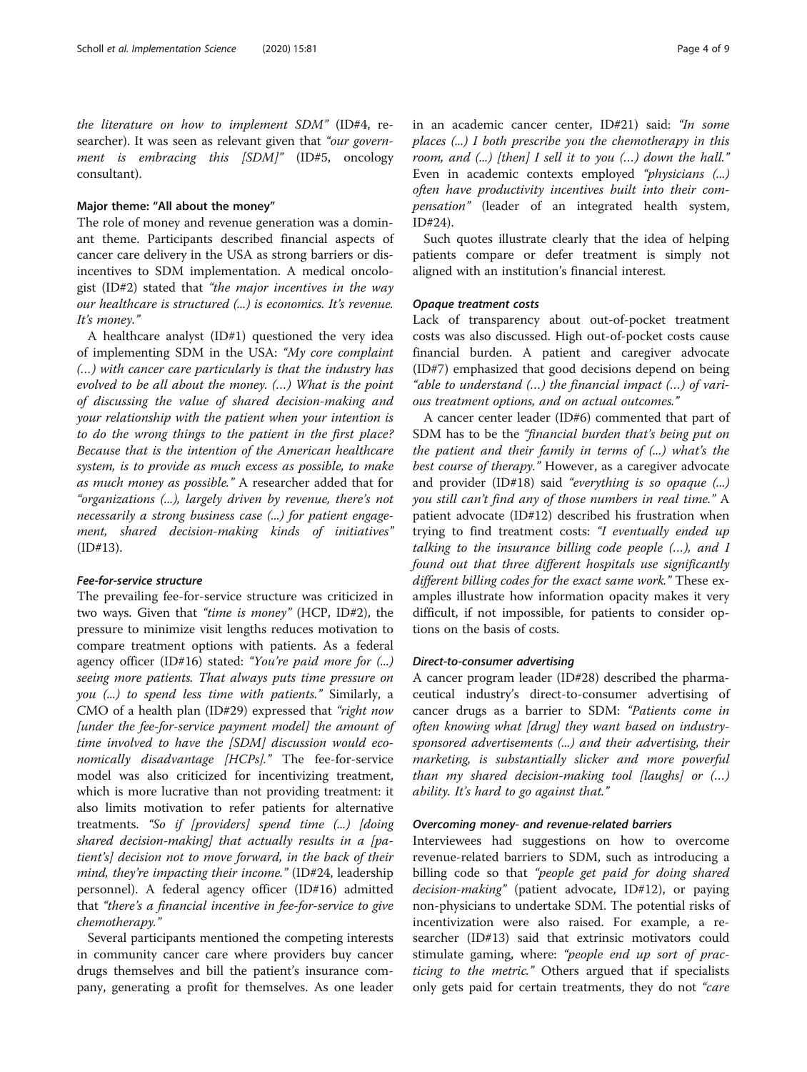the literature on how to implement SDM" (ID#4, researcher). It was seen as relevant given that "our government is embracing this [SDM]" (ID#5, oncology consultant).

#### Major theme: "All about the money"

The role of money and revenue generation was a dominant theme. Participants described financial aspects of cancer care delivery in the USA as strong barriers or disincentives to SDM implementation. A medical oncologist (ID#2) stated that "the major incentives in the way our healthcare is structured (...) is economics. It's revenue. It's money."

A healthcare analyst (ID#1) questioned the very idea of implementing SDM in the USA: "My core complaint (…) with cancer care particularly is that the industry has evolved to be all about the money. (…) What is the point of discussing the value of shared decision-making and your relationship with the patient when your intention is to do the wrong things to the patient in the first place? Because that is the intention of the American healthcare system, is to provide as much excess as possible, to make as much money as possible." A researcher added that for "organizations (...), largely driven by revenue, there's not necessarily a strong business case (...) for patient engagement, shared decision-making kinds of initiatives" (ID#13).

# Fee-for-service structure

The prevailing fee-for-service structure was criticized in two ways. Given that "time is money" (HCP, ID#2), the pressure to minimize visit lengths reduces motivation to compare treatment options with patients. As a federal agency officer (ID#16) stated: "You're paid more for (...) seeing more patients. That always puts time pressure on you (...) to spend less time with patients." Similarly, a CMO of a health plan (ID#29) expressed that "right now [under the fee-for-service payment model] the amount of time involved to have the [SDM] discussion would economically disadvantage [HCPs]." The fee-for-service model was also criticized for incentivizing treatment, which is more lucrative than not providing treatment: it also limits motivation to refer patients for alternative treatments. "So if [providers] spend time (...) [doing shared decision-making] that actually results in a [patient's] decision not to move forward, in the back of their mind, they're impacting their income." (ID#24, leadership personnel). A federal agency officer (ID#16) admitted that "there's a financial incentive in fee-for-service to give chemotherapy."

Several participants mentioned the competing interests in community cancer care where providers buy cancer drugs themselves and bill the patient's insurance company, generating a profit for themselves. As one leader in an academic cancer center, ID#21) said: "In some places  $(...)$  I both prescribe you the chemotherapy in this room, and  $(...)$  [then] I sell it to you  $(...)$  down the hall." Even in academic contexts employed "physicians (...) often have productivity incentives built into their compensation" (leader of an integrated health system, ID#24).

Such quotes illustrate clearly that the idea of helping patients compare or defer treatment is simply not aligned with an institution's financial interest.

# Opaque treatment costs

Lack of transparency about out-of-pocket treatment costs was also discussed. High out-of-pocket costs cause financial burden. A patient and caregiver advocate (ID#7) emphasized that good decisions depend on being "able to understand (…) the financial impact (…) of various treatment options, and on actual outcomes."

A cancer center leader (ID#6) commented that part of SDM has to be the "financial burden that's being put on the patient and their family in terms of  $(...)$  what's the best course of therapy." However, as a caregiver advocate and provider (ID#18) said "everything is so opaque (...) you still can't find any of those numbers in real time." A patient advocate (ID#12) described his frustration when trying to find treatment costs: "I eventually ended up talking to the insurance billing code people (…), and I found out that three different hospitals use significantly different billing codes for the exact same work." These examples illustrate how information opacity makes it very difficult, if not impossible, for patients to consider options on the basis of costs.

# Direct-to-consumer advertising

A cancer program leader (ID#28) described the pharmaceutical industry's direct-to-consumer advertising of cancer drugs as a barrier to SDM: "Patients come in often knowing what [drug] they want based on industrysponsored advertisements (...) and their advertising, their marketing, is substantially slicker and more powerful than my shared decision-making tool [laughs] or (…) ability. It's hard to go against that."

#### Overcoming money- and revenue-related barriers

Interviewees had suggestions on how to overcome revenue-related barriers to SDM, such as introducing a billing code so that "people get paid for doing shared decision-making" (patient advocate, ID#12), or paying non-physicians to undertake SDM. The potential risks of incentivization were also raised. For example, a researcher (ID#13) said that extrinsic motivators could stimulate gaming, where: "people end up sort of practicing to the metric." Others argued that if specialists only gets paid for certain treatments, they do not "care"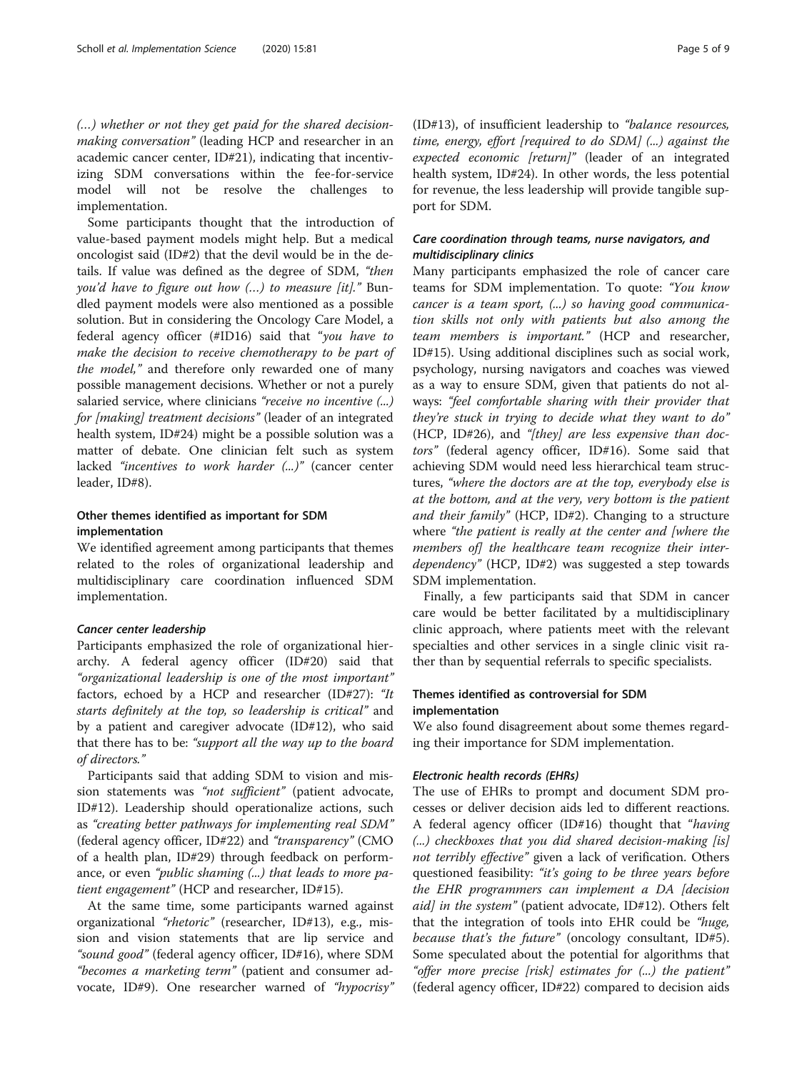(…) whether or not they get paid for the shared decisionmaking conversation" (leading HCP and researcher in an academic cancer center, ID#21), indicating that incentivizing SDM conversations within the fee-for-service model will not be resolve the challenges to implementation.

Some participants thought that the introduction of value-based payment models might help. But a medical oncologist said (ID#2) that the devil would be in the details. If value was defined as the degree of SDM, "then you'd have to figure out how (…) to measure [it]." Bundled payment models were also mentioned as a possible solution. But in considering the Oncology Care Model, a federal agency officer (#ID16) said that "you have to make the decision to receive chemotherapy to be part of the model," and therefore only rewarded one of many possible management decisions. Whether or not a purely salaried service, where clinicians "receive no incentive (...) for [making] treatment decisions" (leader of an integrated health system, ID#24) might be a possible solution was a matter of debate. One clinician felt such as system lacked "incentives to work harder (...)" (cancer center leader, ID#8).

# Other themes identified as important for SDM implementation

We identified agreement among participants that themes related to the roles of organizational leadership and multidisciplinary care coordination influenced SDM implementation.

# Cancer center leadership

Participants emphasized the role of organizational hierarchy. A federal agency officer (ID#20) said that "organizational leadership is one of the most important" factors, echoed by a HCP and researcher (ID#27): "It starts definitely at the top, so leadership is critical" and by a patient and caregiver advocate (ID#12), who said that there has to be: "support all the way up to the board of directors."

Participants said that adding SDM to vision and mission statements was "not sufficient" (patient advocate, ID#12). Leadership should operationalize actions, such as "creating better pathways for implementing real SDM" (federal agency officer, ID#22) and "transparency" (CMO of a health plan, ID#29) through feedback on performance, or even "*public shaming* (...) that leads to more patient engagement" (HCP and researcher, ID#15).

At the same time, some participants warned against organizational "rhetoric" (researcher, ID#13), e.g., mission and vision statements that are lip service and "sound good" (federal agency officer, ID#16), where SDM "becomes a marketing term" (patient and consumer advocate, ID#9). One researcher warned of "hypocrisy"

(ID#13), of insufficient leadership to "balance resources, time, energy, effort [required to do SDM] (...) against the expected economic [return]" (leader of an integrated health system, ID#24). In other words, the less potential for revenue, the less leadership will provide tangible support for SDM.

# Care coordination through teams, nurse navigators, and multidisciplinary clinics

Many participants emphasized the role of cancer care teams for SDM implementation. To quote: "You know cancer is a team sport, (...) so having good communication skills not only with patients but also among the team members is important." (HCP and researcher, ID#15). Using additional disciplines such as social work, psychology, nursing navigators and coaches was viewed as a way to ensure SDM, given that patients do not always: "feel comfortable sharing with their provider that they're stuck in trying to decide what they want to do" (HCP, ID#26), and "[they] are less expensive than doctors" (federal agency officer, ID#16). Some said that achieving SDM would need less hierarchical team structures, "where the doctors are at the top, everybody else is at the bottom, and at the very, very bottom is the patient and their family" (HCP, ID#2). Changing to a structure where "the patient is really at the center and [where the members of] the healthcare team recognize their interdependency" (HCP, ID#2) was suggested a step towards SDM implementation.

Finally, a few participants said that SDM in cancer care would be better facilitated by a multidisciplinary clinic approach, where patients meet with the relevant specialties and other services in a single clinic visit rather than by sequential referrals to specific specialists.

# Themes identified as controversial for SDM implementation

We also found disagreement about some themes regarding their importance for SDM implementation.

# Electronic health records (EHRs)

The use of EHRs to prompt and document SDM processes or deliver decision aids led to different reactions. A federal agency officer (ID#16) thought that "having (...) checkboxes that you did shared decision-making [is] not terribly effective" given a lack of verification. Others questioned feasibility: "it's going to be three years before the EHR programmers can implement a DA [decision aid] in the system" (patient advocate, ID#12). Others felt that the integration of tools into EHR could be "huge, because that's the future" (oncology consultant, ID#5). Some speculated about the potential for algorithms that "offer more precise [risk] estimates for (...) the patient" (federal agency officer, ID#22) compared to decision aids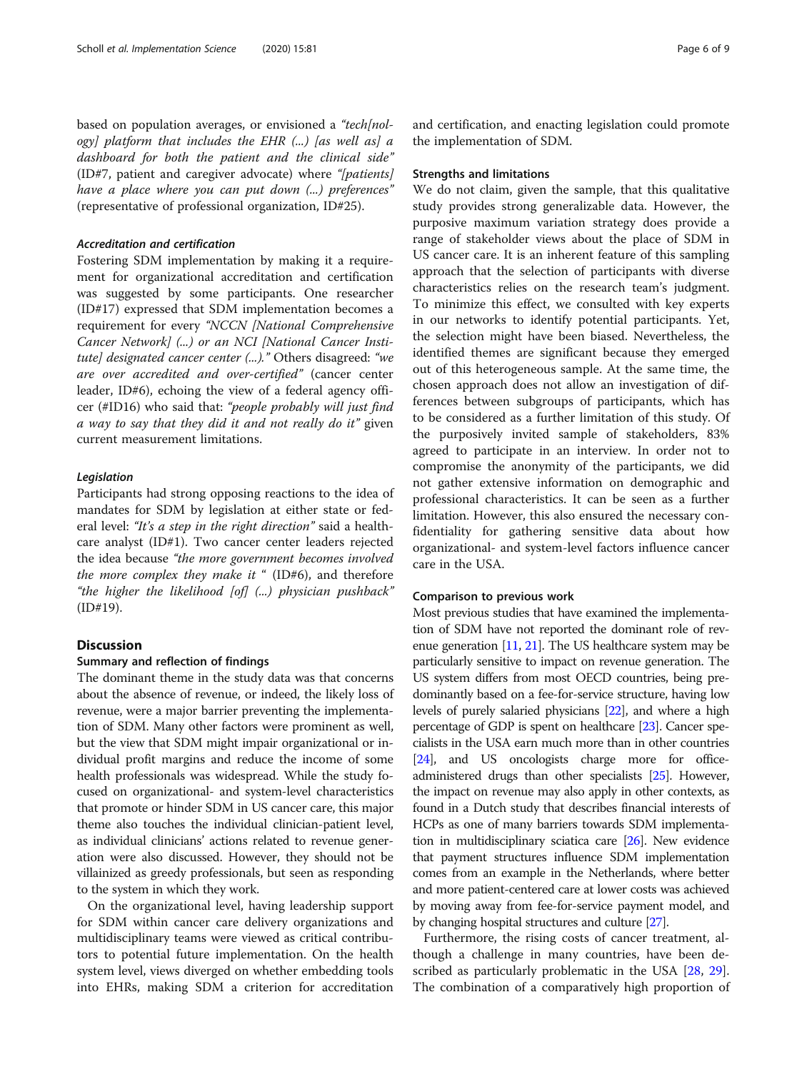based on population averages, or envisioned a "tech[nology] platform that includes the EHR  $(...)$  [as well as] a dashboard for both the patient and the clinical side" (ID#7, patient and caregiver advocate) where "[patients] have a place where you can put down (...) preferences" (representative of professional organization, ID#25).

# Accreditation and certification

Fostering SDM implementation by making it a requirement for organizational accreditation and certification was suggested by some participants. One researcher (ID#17) expressed that SDM implementation becomes a requirement for every "NCCN [National Comprehensive Cancer Network] (...) or an NCI [National Cancer Institute] designated cancer center (...)." Others disagreed: "we are over accredited and over-certified" (cancer center leader, ID#6), echoing the view of a federal agency officer (#ID16) who said that: "people probably will just find a way to say that they did it and not really do it" given current measurement limitations.

# Legislation

Participants had strong opposing reactions to the idea of mandates for SDM by legislation at either state or federal level: "It's a step in the right direction" said a healthcare analyst (ID#1). Two cancer center leaders rejected the idea because "the more government becomes involved the more complex they make it "  $(ID#6)$ , and therefore "the higher the likelihood [of] (...) physician pushback" (ID#19).

# **Discussion**

#### Summary and reflection of findings

The dominant theme in the study data was that concerns about the absence of revenue, or indeed, the likely loss of revenue, were a major barrier preventing the implementation of SDM. Many other factors were prominent as well, but the view that SDM might impair organizational or individual profit margins and reduce the income of some health professionals was widespread. While the study focused on organizational- and system-level characteristics that promote or hinder SDM in US cancer care, this major theme also touches the individual clinician-patient level, as individual clinicians' actions related to revenue generation were also discussed. However, they should not be villainized as greedy professionals, but seen as responding to the system in which they work.

On the organizational level, having leadership support for SDM within cancer care delivery organizations and multidisciplinary teams were viewed as critical contributors to potential future implementation. On the health system level, views diverged on whether embedding tools into EHRs, making SDM a criterion for accreditation and certification, and enacting legislation could promote the implementation of SDM.

#### Strengths and limitations

We do not claim, given the sample, that this qualitative study provides strong generalizable data. However, the purposive maximum variation strategy does provide a range of stakeholder views about the place of SDM in US cancer care. It is an inherent feature of this sampling approach that the selection of participants with diverse characteristics relies on the research team's judgment. To minimize this effect, we consulted with key experts in our networks to identify potential participants. Yet, the selection might have been biased. Nevertheless, the identified themes are significant because they emerged out of this heterogeneous sample. At the same time, the chosen approach does not allow an investigation of differences between subgroups of participants, which has to be considered as a further limitation of this study. Of the purposively invited sample of stakeholders, 83% agreed to participate in an interview. In order not to compromise the anonymity of the participants, we did not gather extensive information on demographic and professional characteristics. It can be seen as a further limitation. However, this also ensured the necessary confidentiality for gathering sensitive data about how organizational- and system-level factors influence cancer care in the USA.

#### Comparison to previous work

Most previous studies that have examined the implementation of SDM have not reported the dominant role of revenue generation [\[11,](#page-7-0) [21](#page-8-0)]. The US healthcare system may be particularly sensitive to impact on revenue generation. The US system differs from most OECD countries, being predominantly based on a fee-for-service structure, having low levels of purely salaried physicians [\[22\]](#page-8-0), and where a high percentage of GDP is spent on healthcare [\[23\]](#page-8-0). Cancer specialists in the USA earn much more than in other countries [[24](#page-8-0)], and US oncologists charge more for officeadministered drugs than other specialists [\[25](#page-8-0)]. However, the impact on revenue may also apply in other contexts, as found in a Dutch study that describes financial interests of HCPs as one of many barriers towards SDM implementation in multidisciplinary sciatica care [\[26](#page-8-0)]. New evidence that payment structures influence SDM implementation comes from an example in the Netherlands, where better and more patient-centered care at lower costs was achieved by moving away from fee-for-service payment model, and by changing hospital structures and culture [\[27\]](#page-8-0).

Furthermore, the rising costs of cancer treatment, although a challenge in many countries, have been de-scribed as particularly problematic in the USA [[28](#page-8-0), [29](#page-8-0)]. The combination of a comparatively high proportion of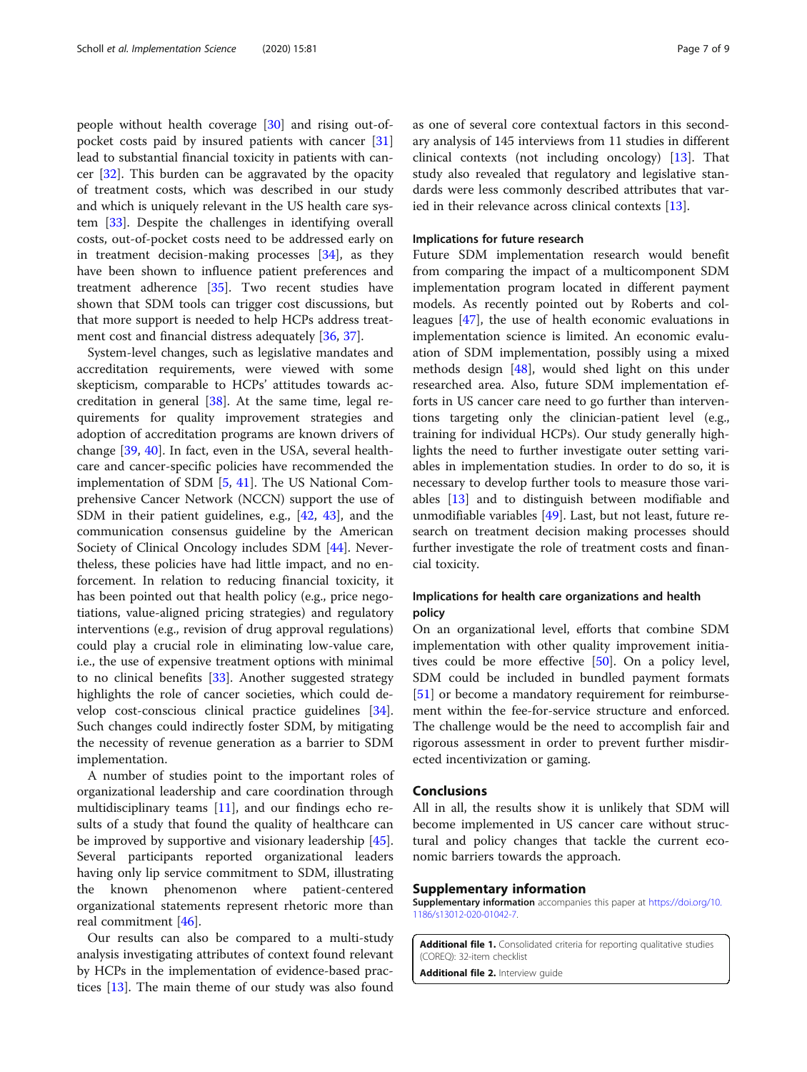<span id="page-6-0"></span>people without health coverage [\[30](#page-8-0)] and rising out-ofpocket costs paid by insured patients with cancer [[31](#page-8-0)] lead to substantial financial toxicity in patients with cancer [\[32](#page-8-0)]. This burden can be aggravated by the opacity of treatment costs, which was described in our study and which is uniquely relevant in the US health care system [[33\]](#page-8-0). Despite the challenges in identifying overall costs, out-of-pocket costs need to be addressed early on in treatment decision-making processes [[34\]](#page-8-0), as they have been shown to influence patient preferences and treatment adherence [[35\]](#page-8-0). Two recent studies have shown that SDM tools can trigger cost discussions, but that more support is needed to help HCPs address treatment cost and financial distress adequately [[36](#page-8-0), [37](#page-8-0)].

System-level changes, such as legislative mandates and accreditation requirements, were viewed with some skepticism, comparable to HCPs' attitudes towards accreditation in general [[38](#page-8-0)]. At the same time, legal requirements for quality improvement strategies and adoption of accreditation programs are known drivers of change [[39,](#page-8-0) [40\]](#page-8-0). In fact, even in the USA, several healthcare and cancer-specific policies have recommended the implementation of SDM [\[5](#page-7-0), [41](#page-8-0)]. The US National Comprehensive Cancer Network (NCCN) support the use of SDM in their patient guidelines, e.g., [\[42,](#page-8-0) [43](#page-8-0)], and the communication consensus guideline by the American Society of Clinical Oncology includes SDM [[44\]](#page-8-0). Nevertheless, these policies have had little impact, and no enforcement. In relation to reducing financial toxicity, it has been pointed out that health policy (e.g., price negotiations, value-aligned pricing strategies) and regulatory interventions (e.g., revision of drug approval regulations) could play a crucial role in eliminating low-value care, i.e., the use of expensive treatment options with minimal to no clinical benefits [[33\]](#page-8-0). Another suggested strategy highlights the role of cancer societies, which could develop cost-conscious clinical practice guidelines [\[34](#page-8-0)]. Such changes could indirectly foster SDM, by mitigating the necessity of revenue generation as a barrier to SDM implementation.

A number of studies point to the important roles of organizational leadership and care coordination through multidisciplinary teams [\[11\]](#page-7-0), and our findings echo results of a study that found the quality of healthcare can be improved by supportive and visionary leadership [\[45](#page-8-0)]. Several participants reported organizational leaders having only lip service commitment to SDM, illustrating the known phenomenon where patient-centered organizational statements represent rhetoric more than real commitment [[46](#page-8-0)].

Our results can also be compared to a multi-study analysis investigating attributes of context found relevant by HCPs in the implementation of evidence-based practices [[13\]](#page-7-0). The main theme of our study was also found as one of several core contextual factors in this secondary analysis of 145 interviews from 11 studies in different clinical contexts (not including oncology) [[13\]](#page-7-0). That study also revealed that regulatory and legislative standards were less commonly described attributes that varied in their relevance across clinical contexts [\[13\]](#page-7-0).

# Implications for future research

Future SDM implementation research would benefit from comparing the impact of a multicomponent SDM implementation program located in different payment models. As recently pointed out by Roberts and colleagues [[47](#page-8-0)], the use of health economic evaluations in implementation science is limited. An economic evaluation of SDM implementation, possibly using a mixed methods design [[48\]](#page-8-0), would shed light on this under researched area. Also, future SDM implementation efforts in US cancer care need to go further than interventions targeting only the clinician-patient level (e.g., training for individual HCPs). Our study generally highlights the need to further investigate outer setting variables in implementation studies. In order to do so, it is necessary to develop further tools to measure those variables [[13](#page-7-0)] and to distinguish between modifiable and unmodifiable variables [[49\]](#page-8-0). Last, but not least, future research on treatment decision making processes should further investigate the role of treatment costs and financial toxicity.

# Implications for health care organizations and health policy

On an organizational level, efforts that combine SDM implementation with other quality improvement initiatives could be more effective [[50\]](#page-8-0). On a policy level, SDM could be included in bundled payment formats [[51\]](#page-8-0) or become a mandatory requirement for reimbursement within the fee-for-service structure and enforced. The challenge would be the need to accomplish fair and rigorous assessment in order to prevent further misdirected incentivization or gaming.

# Conclusions

All in all, the results show it is unlikely that SDM will become implemented in US cancer care without structural and policy changes that tackle the current economic barriers towards the approach.

#### Supplementary information

Supplementary information accompanies this paper at [https://doi.org/10.](https://doi.org/10.1186/s13012-020-01042-7) [1186/s13012-020-01042-7](https://doi.org/10.1186/s13012-020-01042-7).

Additional file 1. Consolidated criteria for reporting qualitative studies (COREQ): 32-item checklist

Additional file 2. Interview quide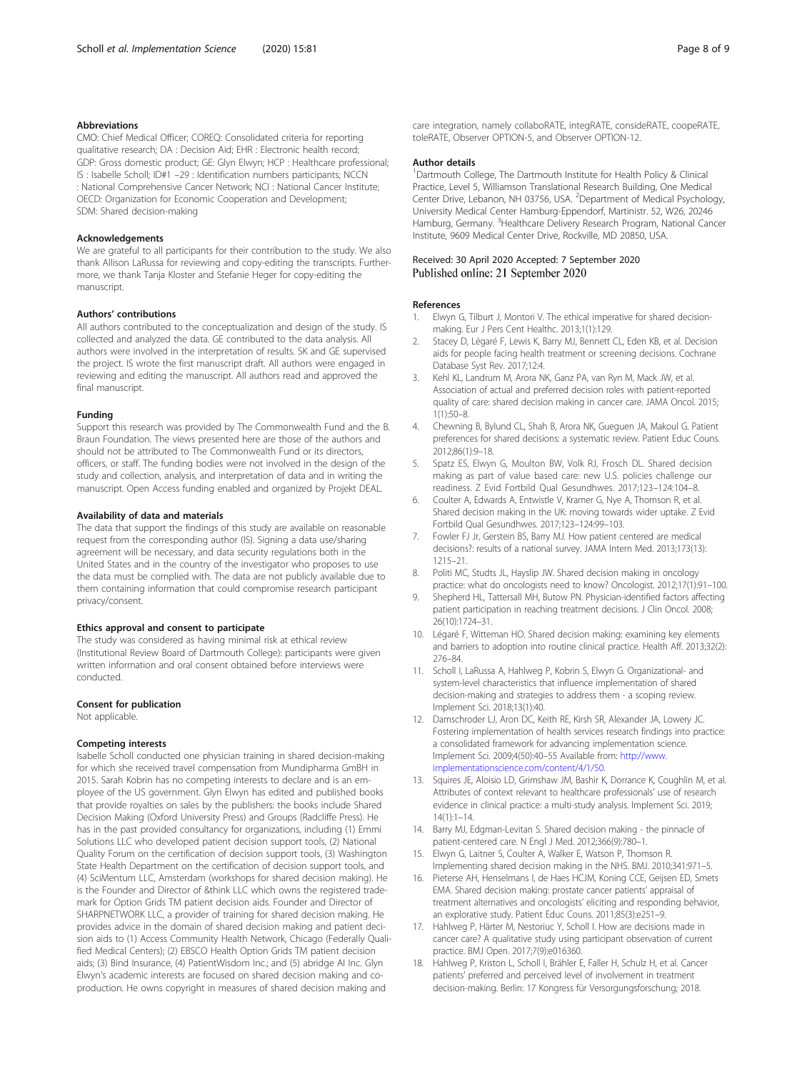# <span id="page-7-0"></span>Abbreviations

CMO: Chief Medical Officer; COREQ: Consolidated criteria for reporting qualitative research; DA : Decision Aid; EHR : Electronic health record; GDP: Gross domestic product; GE: Glyn Elwyn; HCP : Healthcare professional; IS : Isabelle Scholl; ID#1 –29 : Identification numbers participants; NCCN : National Comprehensive Cancer Network; NCI : National Cancer Institute; OECD: Organization for Economic Cooperation and Development; SDM: Shared decision-making

#### Acknowledgements

We are grateful to all participants for their contribution to the study. We also thank Allison LaRussa for reviewing and copy-editing the transcripts. Furthermore, we thank Tanja Kloster and Stefanie Heger for copy-editing the manuscript.

#### Authors' contributions

All authors contributed to the conceptualization and design of the study. IS collected and analyzed the data. GE contributed to the data analysis. All authors were involved in the interpretation of results. SK and GE supervised the project. IS wrote the first manuscript draft. All authors were engaged in reviewing and editing the manuscript. All authors read and approved the final manuscript.

#### Funding

Support this research was provided by The Commonwealth Fund and the B. Braun Foundation. The views presented here are those of the authors and should not be attributed to The Commonwealth Fund or its directors, officers, or staff. The funding bodies were not involved in the design of the study and collection, analysis, and interpretation of data and in writing the manuscript. Open Access funding enabled and organized by Projekt DEAL.

#### Availability of data and materials

The data that support the findings of this study are available on reasonable request from the corresponding author (IS). Signing a data use/sharing agreement will be necessary, and data security regulations both in the United States and in the country of the investigator who proposes to use the data must be complied with. The data are not publicly available due to them containing information that could compromise research participant privacy/consent.

#### Ethics approval and consent to participate

The study was considered as having minimal risk at ethical review (Institutional Review Board of Dartmouth College): participants were given written information and oral consent obtained before interviews were conducted.

#### Consent for publication

Not applicable.

#### Competing interests

Isabelle Scholl conducted one physician training in shared decision-making for which she received travel compensation from Mundipharma GmBH in 2015. Sarah Kobrin has no competing interests to declare and is an employee of the US government. Glyn Elwyn has edited and published books that provide royalties on sales by the publishers: the books include Shared Decision Making (Oxford University Press) and Groups (Radcliffe Press). He has in the past provided consultancy for organizations, including (1) Emmi Solutions LLC who developed patient decision support tools, (2) National Quality Forum on the certification of decision support tools, (3) Washington State Health Department on the certification of decision support tools, and (4) SciMentum LLC, Amsterdam (workshops for shared decision making). He is the Founder and Director of &think LLC which owns the registered trademark for Option Grids TM patient decision aids. Founder and Director of SHARPNETWORK LLC, a provider of training for shared decision making. He provides advice in the domain of shared decision making and patient decision aids to (1) Access Community Health Network, Chicago (Federally Qualified Medical Centers); (2) EBSCO Health Option Grids TM patient decision aids; (3) Bind Insurance, (4) PatientWisdom Inc.; and (5) abridge AI Inc. Glyn Elwyn's academic interests are focused on shared decision making and coproduction. He owns copyright in measures of shared decision making and

care integration, namely collaboRATE, integRATE, consideRATE, coopeRATE, toleRATE, Observer OPTION-5, and Observer OPTION-12.

# Author details

<sup>1</sup>Dartmouth College, The Dartmouth Institute for Health Policy & Clinical Practice, Level 5, Williamson Translational Research Building, One Medical Center Drive, Lebanon, NH 03756, USA. <sup>2</sup>Department of Medical Psychology, University Medical Center Hamburg-Eppendorf, Martinistr. 52, W26, 20246 Hamburg, Germany. <sup>3</sup>Healthcare Delivery Research Program, National Cancer Institute, 9609 Medical Center Drive, Rockville, MD 20850, USA.

# Received: 30 April 2020 Accepted: 7 September 2020

## References

- 1. Elwyn G, Tilburt J, Montori V. The ethical imperative for shared decisionmaking. Eur J Pers Cent Healthc. 2013;1(1):129.
- Stacey D, Légaré F, Lewis K, Barry MJ, Bennett CL, Eden KB, et al. Decision aids for people facing health treatment or screening decisions. Cochrane Database Syst Rev. 2017;12:4.
- Kehl KL, Landrum M, Arora NK, Ganz PA, van Ryn M, Mack JW, et al. Association of actual and preferred decision roles with patient-reported quality of care: shared decision making in cancer care. JAMA Oncol. 2015; 1(1):50–8.
- 4. Chewning B, Bylund CL, Shah B, Arora NK, Gueguen JA, Makoul G. Patient preferences for shared decisions: a systematic review. Patient Educ Couns. 2012;86(1):9–18.
- 5. Spatz ES, Elwyn G, Moulton BW, Volk RJ, Frosch DL. Shared decision making as part of value based care: new U.S. policies challenge our readiness. Z Evid Fortbild Qual Gesundhwes. 2017;123–124:104–8.
- Coulter A, Edwards A, Entwistle V, Kramer G, Nye A, Thomson R, et al. Shared decision making in the UK: moving towards wider uptake. Z Evid Fortbild Qual Gesundhwes. 2017;123–124:99–103.
- 7. Fowler FJ Jr, Gerstein BS, Barry MJ. How patient centered are medical decisions?: results of a national survey. JAMA Intern Med. 2013;173(13): 1215–21.
- 8. Politi MC, Studts JL, Hayslip JW. Shared decision making in oncology practice: what do oncologists need to know? Oncologist. 2012;17(1):91–100.
- Shepherd HL, Tattersall MH, Butow PN. Physician-identified factors affecting patient participation in reaching treatment decisions. J Clin Oncol. 2008; 26(10):1724–31.
- 10. Légaré F, Witteman HO. Shared decision making: examining key elements and barriers to adoption into routine clinical practice. Health Aff. 2013;32(2): 276–84.
- 11. Scholl I, LaRussa A, Hahlweg P, Kobrin S, Elwyn G. Organizational- and system-level characteristics that influence implementation of shared decision-making and strategies to address them - a scoping review. Implement Sci. 2018;13(1):40.
- 12. Damschroder LJ, Aron DC, Keith RE, Kirsh SR, Alexander JA, Lowery JC. Fostering implementation of health services research findings into practice: a consolidated framework for advancing implementation science. Implement Sci. 2009;4(50):40–55 Available from: [http://www.](http://www.implementationscience.com/content/4/1/50) [implementationscience.com/content/4/1/50.](http://www.implementationscience.com/content/4/1/50)
- 13. Squires JE, Aloisio LD, Grimshaw JM, Bashir K, Dorrance K, Coughlin M, et al. Attributes of context relevant to healthcare professionals' use of research evidence in clinical practice: a multi-study analysis. Implement Sci. 2019; 14(1):1–14.
- 14. Barry MJ, Edgman-Levitan S. Shared decision making the pinnacle of patient-centered care. N Engl J Med. 2012;366(9):780–1.
- 15. Elwyn G, Laitner S, Coulter A, Walker E, Watson P, Thomson R. Implementing shared decision making in the NHS. BMJ. 2010;341:971–5.
- 16. Pieterse AH, Henselmans I, de Haes HCJM, Koning CCE, Geijsen ED, Smets EMA. Shared decision making: prostate cancer patients' appraisal of treatment alternatives and oncologists' eliciting and responding behavior, an explorative study. Patient Educ Couns. 2011;85(3):e251–9.
- 17. Hahlweg P, Härter M, Nestoriuc Y, Scholl I. How are decisions made in cancer care? A qualitative study using participant observation of current practice. BMJ Open. 2017;7(9):e016360.
- 18. Hahlweg P, Kriston L, Scholl I, Brähler E, Faller H, Schulz H, et al. Cancer patients' preferred and perceived level of involvement in treatment decision-making. Berlin: 17 Kongress für Versorgungsforschung; 2018.